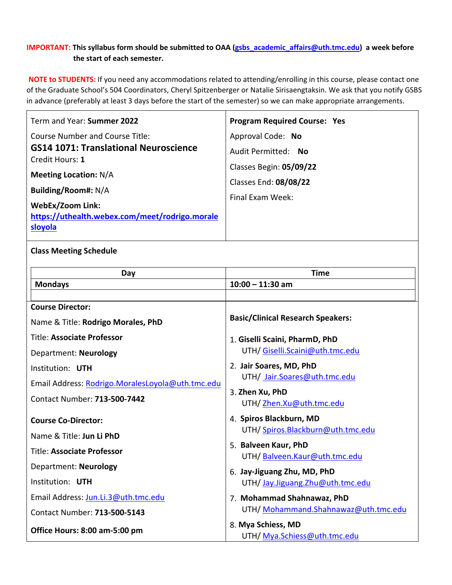# **IMPORTANT: This syllabus form should be submitted to OAA [\(gsbs\\_academic\\_affairs@uth.tmc.edu\)](mailto:gsbs_academic_affairs@uth.tmc.edu) a week before the start of each semester.**

**NOTE to STUDENTS:** If you need any accommodations related to attending/enrolling in this course, please contact one of the Graduate School's 504 Coordinators, Cheryl Spitzenberger or Natalie Sirisaengtaksin. We ask that you notify GSBS in advance (preferably at least 3 days before the start of the semester) so we can make appropriate arrangements.

| Term and Year: Summer 2022                                | <b>Program Required Course: Yes</b>                |  |  |  |
|-----------------------------------------------------------|----------------------------------------------------|--|--|--|
| <b>Course Number and Course Title:</b>                    | Approval Code: No                                  |  |  |  |
| <b>GS14 1071: Translational Neuroscience</b>              | Audit Permitted: No                                |  |  |  |
| Credit Hours: 1                                           | Classes Begin: 05/09/22                            |  |  |  |
| <b>Meeting Location: N/A</b>                              | Classes End: 08/08/22                              |  |  |  |
| Building/Room#: N/A                                       | Final Exam Week:                                   |  |  |  |
| <b>WebEx/Zoom Link:</b>                                   |                                                    |  |  |  |
| https://uthealth.webex.com/meet/rodrigo.morale<br>sloyola |                                                    |  |  |  |
|                                                           |                                                    |  |  |  |
| <b>Class Meeting Schedule</b>                             |                                                    |  |  |  |
| Day                                                       | <b>Time</b>                                        |  |  |  |
|                                                           |                                                    |  |  |  |
|                                                           |                                                    |  |  |  |
| <b>Mondays</b>                                            | $10:00 - 11:30$ am                                 |  |  |  |
| <b>Course Director:</b>                                   |                                                    |  |  |  |
| Name & Title: Rodrigo Morales, PhD                        | <b>Basic/Clinical Research Speakers:</b>           |  |  |  |
| <b>Title: Associate Professor</b>                         | 1. Giselli Scaini, PharmD, PhD                     |  |  |  |
| Department: Neurology                                     | UTH/Giselli.Scaini@uth.tmc.edu                     |  |  |  |
| Institution: UTH                                          | 2. Jair Soares, MD, PhD                            |  |  |  |
| Email Address: Rodrigo.MoralesLoyola@uth.tmc.edu          | UTH/ Jair.Soares@uth.tmc.edu                       |  |  |  |
| <b>Contact Number: 713-500-7442</b>                       | 3. Zhen Xu, PhD                                    |  |  |  |
|                                                           | UTH/Zhen.Xu@uth.tmc.edu<br>4. Spiros Blackburn, MD |  |  |  |

Name & Title: **Jun Li PhD**

Title: **Associate Professor**

Department: **Neurology**

Institution: **UTH** 

Email Address: [Jun.Li.3@uth.tmc.edu](mailto:Jun.Li.3@uth.tmc.edu)

Contact Number: **713-500-5143**

**Office Hours: 8:00 am-5:00 pm**

6. **Jay-Jiguang Zhu, MD, PhD**

7. **Mohammad Shahnawaz, PhD**

5. **Balveen Kaur, PhD**

UTH/ [Spiros.Blackburn@uth.tmc.edu](mailto:Spiros.Blackburn@uth.tmc.edu)

UTH/ [Balveen.Kaur@uth.tmc.edu](mailto:Balveen.Kaur@uth.tmc.edu)

UTH/ [Jay.Jiguang.Zhu@uth.tmc.edu](mailto:Jay.Jiguang.Zhu@uth.tmc.edu)

UTH/ [Mohammand.Shahnawaz@uth.tmc.edu](mailto:Mohammand.Shahnawaz@uth.tmc.edu)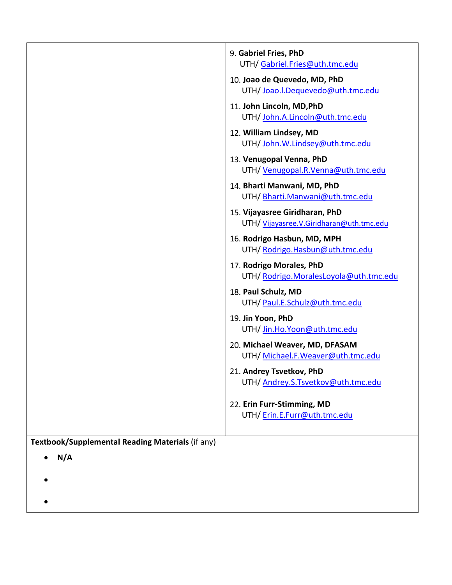|                                                  | 9. Gabriel Fries, PhD                                                      |
|--------------------------------------------------|----------------------------------------------------------------------------|
|                                                  | UTH/Gabriel.Fries@uth.tmc.edu                                              |
|                                                  | 10. Joao de Quevedo, MD, PhD                                               |
|                                                  | UTH/Joao.l.Dequevedo@uth.tmc.edu                                           |
|                                                  | 11. John Lincoln, MD, PhD<br>UTH/John.A.Lincoln@uth.tmc.edu                |
|                                                  | 12. William Lindsey, MD<br>UTH/John.W.Lindsey@uth.tmc.edu                  |
|                                                  | 13. Venugopal Venna, PhD<br>UTH/ Venugopal.R.Venna@uth.tmc.edu             |
|                                                  | 14. Bharti Manwani, MD, PhD<br>UTH/Bharti.Manwani@uth.tmc.edu              |
|                                                  | 15. Vijayasree Giridharan, PhD<br>UTH/ Vijayasree.V.Giridharan@uth.tmc.edu |
|                                                  | 16. Rodrigo Hasbun, MD, MPH<br>UTH/Rodrigo.Hasbun@uth.tmc.edu              |
|                                                  | 17. Rodrigo Morales, PhD<br>UTH/Rodrigo.MoralesLoyola@uth.tmc.edu          |
|                                                  | 18. Paul Schulz, MD<br>UTH/Paul.E.Schulz@uth.tmc.edu                       |
|                                                  | 19. Jin Yoon, PhD<br>UTH/Jin.Ho.Yoon@uth.tmc.edu                           |
|                                                  | 20. Michael Weaver, MD, DFASAM<br>UTH/ Michael.F. Weaver@uth.tmc.edu       |
|                                                  | 21. Andrey Tsvetkov. PhD<br>UTH/Andrey.S.Tsvetkov@uth.tmc.edu              |
|                                                  | 22. Erin Furr-Stimming, MD<br>UTH/Erin.E.Furr@uth.tmc.edu                  |
| Textbook/Supplemental Reading Materials (if any) |                                                                            |
| N/A                                              |                                                                            |
|                                                  |                                                                            |
|                                                  |                                                                            |
|                                                  |                                                                            |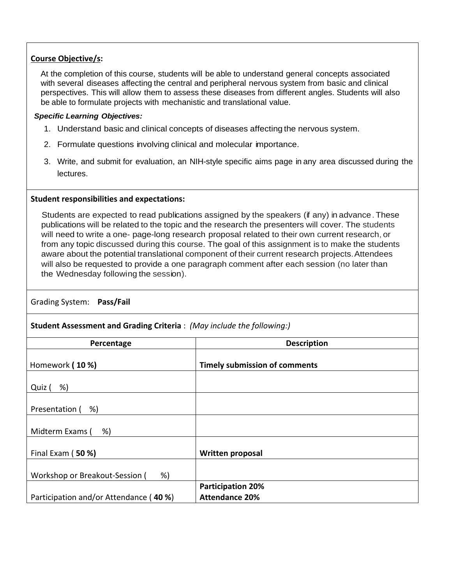# **Course Objective/s:**

At the completion of this course, students will be able to understand general concepts associated with several diseases affecting the central and peripheral nervous system from basic and clinical perspectives. This will allow them to assess these diseases from different angles. Students will also be able to formulate projects with mechanistic and translational value.

## *Specific Learning Objectives:*

- 1. Understand basic and clinical concepts of diseases affecting the nervous system.
- 2. Formulate questions involving clinical and molecular importance.
- 3. Write, and submit for evaluation, an NIH-style specific aims page in any area discussed during the lectures.

#### **Student responsibilities and expectations:**

Students are expected to read publications assigned by the speakers (if any) in advance. These publications will be related to the topic and the research the presenters will cover. The students will need to write a one- page-long research proposal related to their own current research, or from any topic discussed during this course. The goal of this assignment is to make the students aware about the potential translational component of their current research projects.Attendees will also be requested to provide a one paragraph comment after each session (no later than the Wednesday following the session).

Grading System: **Pass/Fail**

**Student Assessment and Grading Criteria** : *(May include the following:)*

| Percentage                             | <b>Description</b>                   |
|----------------------------------------|--------------------------------------|
| Homework (10 %)                        | <b>Timely submission of comments</b> |
| %)<br>Quiz (                           |                                      |
| Presentation (<br>%)                   |                                      |
| Midterm Exams (<br>%)                  |                                      |
| Final Exam (50 %)                      | <b>Written proposal</b>              |
| %)<br>Workshop or Breakout-Session (   |                                      |
|                                        | <b>Participation 20%</b>             |
| Participation and/or Attendance (40 %) | <b>Attendance 20%</b>                |